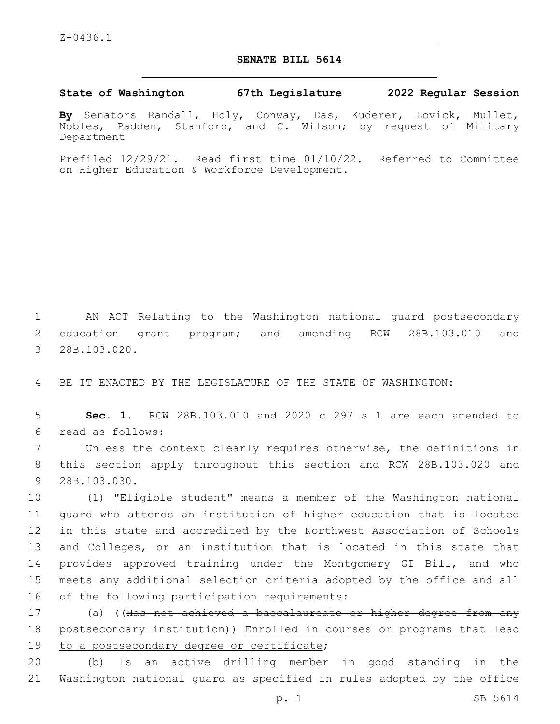## **SENATE BILL 5614**

**State of Washington 67th Legislature 2022 Regular Session**

**By** Senators Randall, Holy, Conway, Das, Kuderer, Lovick, Mullet, Nobles, Padden, Stanford, and C. Wilson; by request of Military Department

Prefiled 12/29/21. Read first time 01/10/22. Referred to Committee on Higher Education & Workforce Development.

1 AN ACT Relating to the Washington national guard postsecondary 2 education grant program; and amending RCW 28B.103.010 and 3 28B.103.020.

4 BE IT ENACTED BY THE LEGISLATURE OF THE STATE OF WASHINGTON:

5 **Sec. 1.** RCW 28B.103.010 and 2020 c 297 s 1 are each amended to read as follows:6

7 Unless the context clearly requires otherwise, the definitions in 8 this section apply throughout this section and RCW 28B.103.020 and 9 28B.103.030.

 (1) "Eligible student" means a member of the Washington national guard who attends an institution of higher education that is located in this state and accredited by the Northwest Association of Schools 13 and Colleges, or an institution that is located in this state that provides approved training under the Montgomery GI Bill, and who meets any additional selection criteria adopted by the office and all 16 of the following participation requirements:

17 (a) ((H<del>as not achieved a baccalaureate or higher degree from any</del> 18 postsecondary institution)) Enrolled in courses or programs that lead 19 to a postsecondary degree or certificate;

20 (b) Is an active drilling member in good standing in the 21 Washington national guard as specified in rules adopted by the office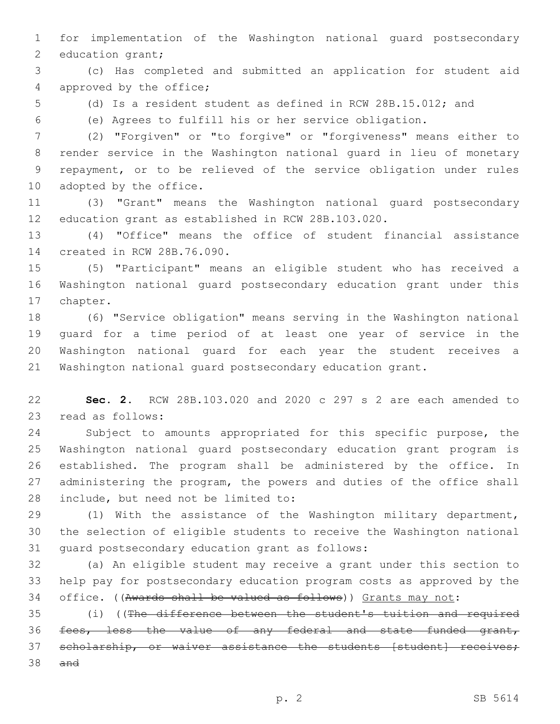for implementation of the Washington national guard postsecondary 2 education grant;

 (c) Has completed and submitted an application for student aid 4 approved by the office;

(d) Is a resident student as defined in RCW 28B.15.012; and

(e) Agrees to fulfill his or her service obligation.

 (2) "Forgiven" or "to forgive" or "forgiveness" means either to render service in the Washington national guard in lieu of monetary repayment, or to be relieved of the service obligation under rules 10 adopted by the office.

 (3) "Grant" means the Washington national guard postsecondary education grant as established in RCW 28B.103.020.

 (4) "Office" means the office of student financial assistance 14 created in RCW 28B.76.090.

 (5) "Participant" means an eligible student who has received a Washington national guard postsecondary education grant under this 17 chapter.

 (6) "Service obligation" means serving in the Washington national guard for a time period of at least one year of service in the Washington national guard for each year the student receives a Washington national guard postsecondary education grant.

 **Sec. 2.** RCW 28B.103.020 and 2020 c 297 s 2 are each amended to 23 read as follows:

 Subject to amounts appropriated for this specific purpose, the Washington national guard postsecondary education grant program is established. The program shall be administered by the office. In administering the program, the powers and duties of the office shall 28 include, but need not be limited to:

 (1) With the assistance of the Washington military department, the selection of eligible students to receive the Washington national 31 quard postsecondary education grant as follows:

 (a) An eligible student may receive a grant under this section to help pay for postsecondary education program costs as approved by the office. ((Awards shall be valued as follows)) Grants may not:

 (i) ((The difference between the student's tuition and required fees, less the value of any federal and state funded grant, 37 scholarship, or waiver assistance the students [student] receives; and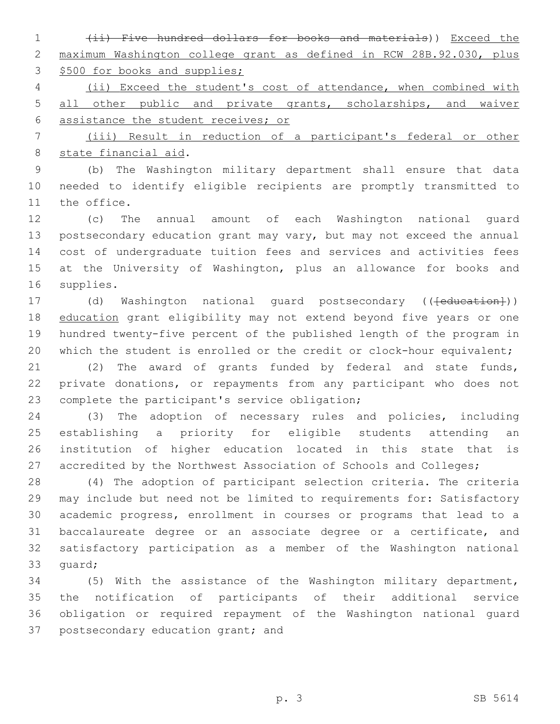(ii) Five hundred dollars for books and materials)) Exceed the maximum Washington college grant as defined in RCW 28B.92.030, plus 3 \$500 for books and supplies;

 (ii) Exceed the student's cost of attendance, when combined with all other public and private grants, scholarships, and waiver assistance the student receives; or

 (iii) Result in reduction of a participant's federal or other 8 state financial aid.

 (b) The Washington military department shall ensure that data needed to identify eligible recipients are promptly transmitted to 11 the office.

 (c) The annual amount of each Washington national guard postsecondary education grant may vary, but may not exceed the annual cost of undergraduate tuition fees and services and activities fees at the University of Washington, plus an allowance for books and 16 supplies.

17 (d) Washington national guard postsecondary ((<del>[education]</del>)) 18 education grant eligibility may not extend beyond five years or one hundred twenty-five percent of the published length of the program in 20 which the student is enrolled or the credit or clock-hour equivalent;

 (2) The award of grants funded by federal and state funds, private donations, or repayments from any participant who does not 23 complete the participant's service obligation;

 (3) The adoption of necessary rules and policies, including establishing a priority for eligible students attending an institution of higher education located in this state that is 27 accredited by the Northwest Association of Schools and Colleges;

 (4) The adoption of participant selection criteria. The criteria may include but need not be limited to requirements for: Satisfactory academic progress, enrollment in courses or programs that lead to a baccalaureate degree or an associate degree or a certificate, and satisfactory participation as a member of the Washington national 33 quard;

 (5) With the assistance of the Washington military department, the notification of participants of their additional service obligation or required repayment of the Washington national guard 37 postsecondary education grant; and